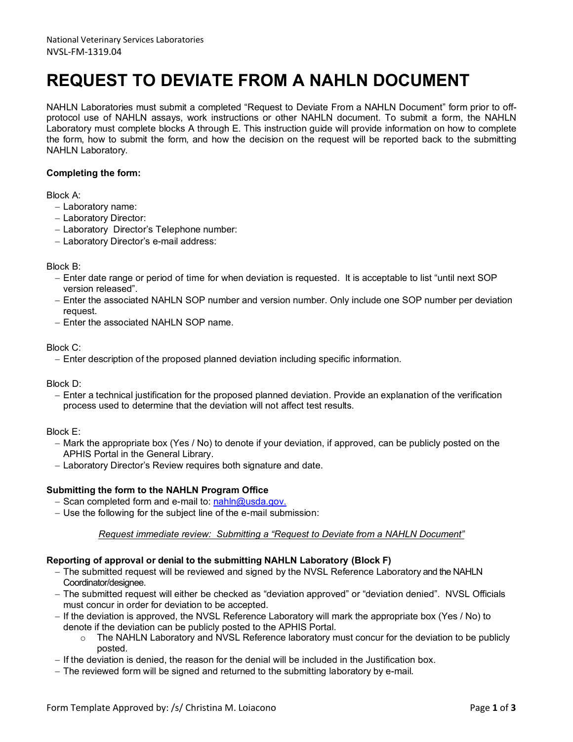# **REQUEST TO DEVIATE FROM A NAHLN DOCUMENT**

NAHLN Laboratories must submit a completed "Request to Deviate From a NAHLN Document" form prior to offprotocol use of NAHLN assays, work instructions or other NAHLN document. To submit a form, the NAHLN Laboratory must complete blocks A through E. This instruction guide will provide information on how to complete the form, how to submit the form, and how the decision on the request will be reported back to the submitting NAHLN Laboratory.

#### **Completing the form:**

### Block A:

- − Laboratory name:
- − Laboratory Director:
- − Laboratory Director's Telephone number:
- − Laboratory Director's e-mail address:

#### Block B:

- − Enter date range or period of time for when deviation is requested. It is acceptable to list "until next SOP version released".
- − Enter the associated NAHLN SOP number and version number. Only include one SOP number per deviation request.
- − Enter the associated NAHLN SOP name.

### Block C:

− Enter description of the proposed planned deviation including specific information.

Block D:

− Enter a technical justification for the proposed planned deviation. Provide an explanation of the verification process used to determine that the deviation will not affect test results.

#### Block E:

- − Mark the appropriate box (Yes / No) to denote if your deviation, if approved, can be publicly posted on the APHIS Portal in the General Library.
- − Laboratory Director's Review requires both signature and date.

# **Submitting the form to the NAHLN Program Office**

- − Scan completed form and e-mail to: nahln@usda.gov.
- − Use the following for the subject line of the e-mail submission:

# *Request immediate review: Submitting a "Request to Deviate from a NAHLN Document"*

# **Reporting of approval or denial to the submitting NAHLN Laboratory (Block F)**

- − The submitted request will be reviewed and signed by the NVSL Reference Laboratory and the NAHLN Coordinator/designee.
- − The submitted request will either be checked as "deviation approved" or "deviation denied". NVSL Officials must concur in order for deviation to be accepted.
- − If the deviation is approved, the NVSL Reference Laboratory will mark the appropriate box (Yes / No) to denote if the deviation can be publicly posted to the APHIS Portal.
	- $\circ$  The NAHLN Laboratory and NVSL Reference laboratory must concur for the deviation to be publicly posted.
- − If the deviation is denied, the reason for the denial will be included in the Justification box.
- − The reviewed form will be signed and returned to the submitting laboratory by e-mail.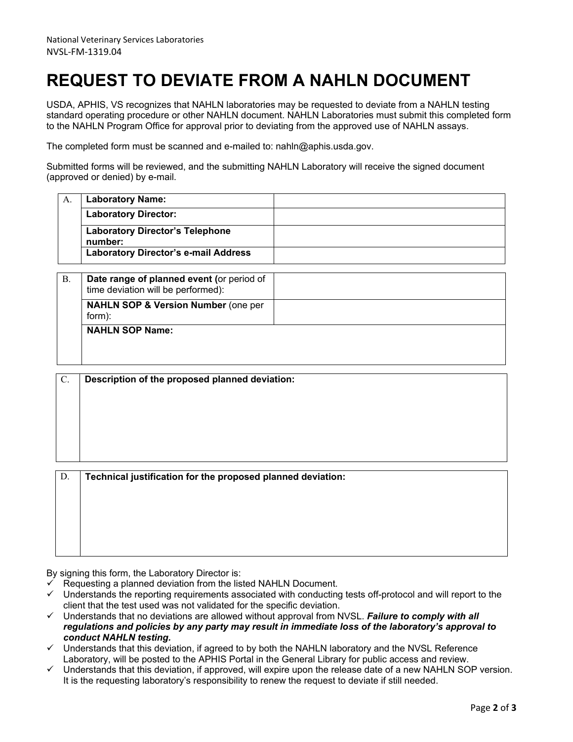# **REQUEST TO DEVIATE FROM A NAHLN DOCUMENT**

USDA, APHIS, VS recognizes that NAHLN laboratories may be requested to deviate from a NAHLN testing standard operating procedure or other NAHLN document. NAHLN Laboratories must submit this completed form to the NAHLN Program Office for approval prior to deviating from the approved use of NAHLN assays.

The completed form must be scanned and e-mailed to: nahln@aphis.usda.gov.

Submitted forms will be reviewed, and the submitting NAHLN Laboratory will receive the signed document (approved or denied) by e-mail.

| А. | <b>Laboratory Name:</b>                           |  |
|----|---------------------------------------------------|--|
|    | <b>Laboratory Director:</b>                       |  |
|    | <b>Laboratory Director's Telephone</b><br>number: |  |
|    | <b>Laboratory Director's e-mail Address</b>       |  |

| <b>B.</b> | Date range of planned event (or period of<br>time deviation will be performed): |  |  |  |
|-----------|---------------------------------------------------------------------------------|--|--|--|
|           | <b>NAHLN SOP &amp; Version Number (one per</b><br>form):                        |  |  |  |
|           | <b>NAHLN SOP Name:</b>                                                          |  |  |  |

| $\mathbf{C}$ . | Description of the proposed planned deviation:              |
|----------------|-------------------------------------------------------------|
|                |                                                             |
|                |                                                             |
|                |                                                             |
|                |                                                             |
|                |                                                             |
|                |                                                             |
|                |                                                             |
|                |                                                             |
|                |                                                             |
|                |                                                             |
|                |                                                             |
| D.             | Technical justification for the proposed planned deviation: |
|                |                                                             |
|                |                                                             |
|                |                                                             |
|                |                                                             |

By signing this form, the Laboratory Director is:

- $\checkmark$  Requesting a planned deviation from the listed NAHLN Document.
- $\checkmark$  Understands the reporting requirements associated with conducting tests off-protocol and will report to the client that the test used was not validated for the specific deviation.
- Understands that no deviations are allowed without approval from NVSL. *Failure to comply with all regulations and policies by any party may result in immediate loss of the laboratory's approval to conduct NAHLN testing.*
- $\checkmark$  Understands that this deviation, if agreed to by both the NAHLN laboratory and the NVSL Reference Laboratory, will be posted to the APHIS Portal in the General Library for public access and review.
- $\checkmark$  Understands that this deviation, if approved, will expire upon the release date of a new NAHLN SOP version. It is the requesting laboratory's responsibility to renew the request to deviate if still needed.